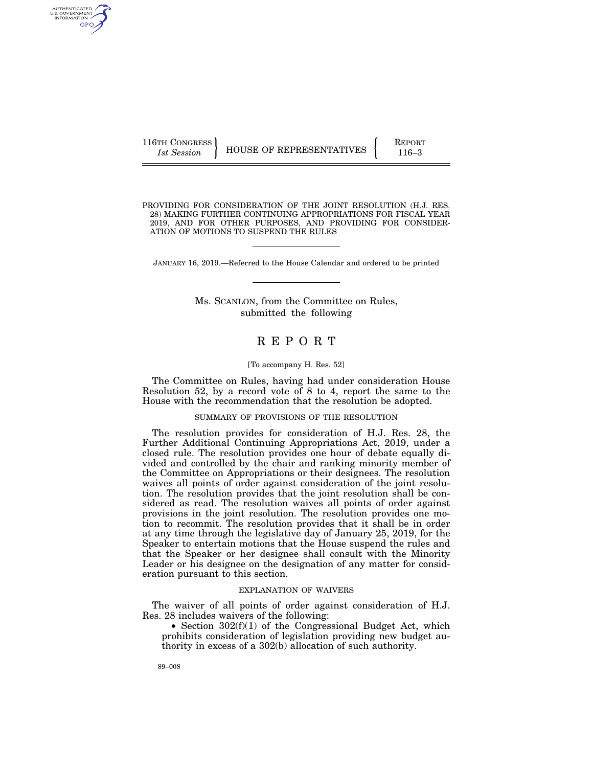116TH CONGRESS **REPORT 116** HOUSE OF REPRESENTATIVES **PERIODE 116–3** 

AUTHENTICATED U.S. GOVERNMENT GPO

PROVIDING FOR CONSIDERATION OF THE JOINT RESOLUTION (H.J. RES. 28) MAKING FURTHER CONTINUING APPROPRIATIONS FOR FISCAL YEAR 2019, AND FOR OTHER PURPOSES, AND PROVIDING FOR CONSIDER-ATION OF MOTIONS TO SUSPEND THE RULES

JANUARY 16, 2019.—Referred to the House Calendar and ordered to be printed

Ms. SCANLON, from the Committee on Rules, submitted the following

# R E P O R T

# [To accompany H. Res. 52]

The Committee on Rules, having had under consideration House Resolution 52, by a record vote of 8 to 4, report the same to the House with the recommendation that the resolution be adopted.

# SUMMARY OF PROVISIONS OF THE RESOLUTION

The resolution provides for consideration of H.J. Res. 28, the Further Additional Continuing Appropriations Act, 2019, under a closed rule. The resolution provides one hour of debate equally divided and controlled by the chair and ranking minority member of the Committee on Appropriations or their designees. The resolution waives all points of order against consideration of the joint resolution. The resolution provides that the joint resolution shall be considered as read. The resolution waives all points of order against provisions in the joint resolution. The resolution provides one motion to recommit. The resolution provides that it shall be in order at any time through the legislative day of January 25, 2019, for the Speaker to entertain motions that the House suspend the rules and that the Speaker or her designee shall consult with the Minority Leader or his designee on the designation of any matter for consideration pursuant to this section.

#### EXPLANATION OF WAIVERS

The waiver of all points of order against consideration of H.J. Res. 28 includes waivers of the following:

• Section 302(f)(1) of the Congressional Budget Act, which prohibits consideration of legislation providing new budget authority in excess of a 302(b) allocation of such authority.

89–008